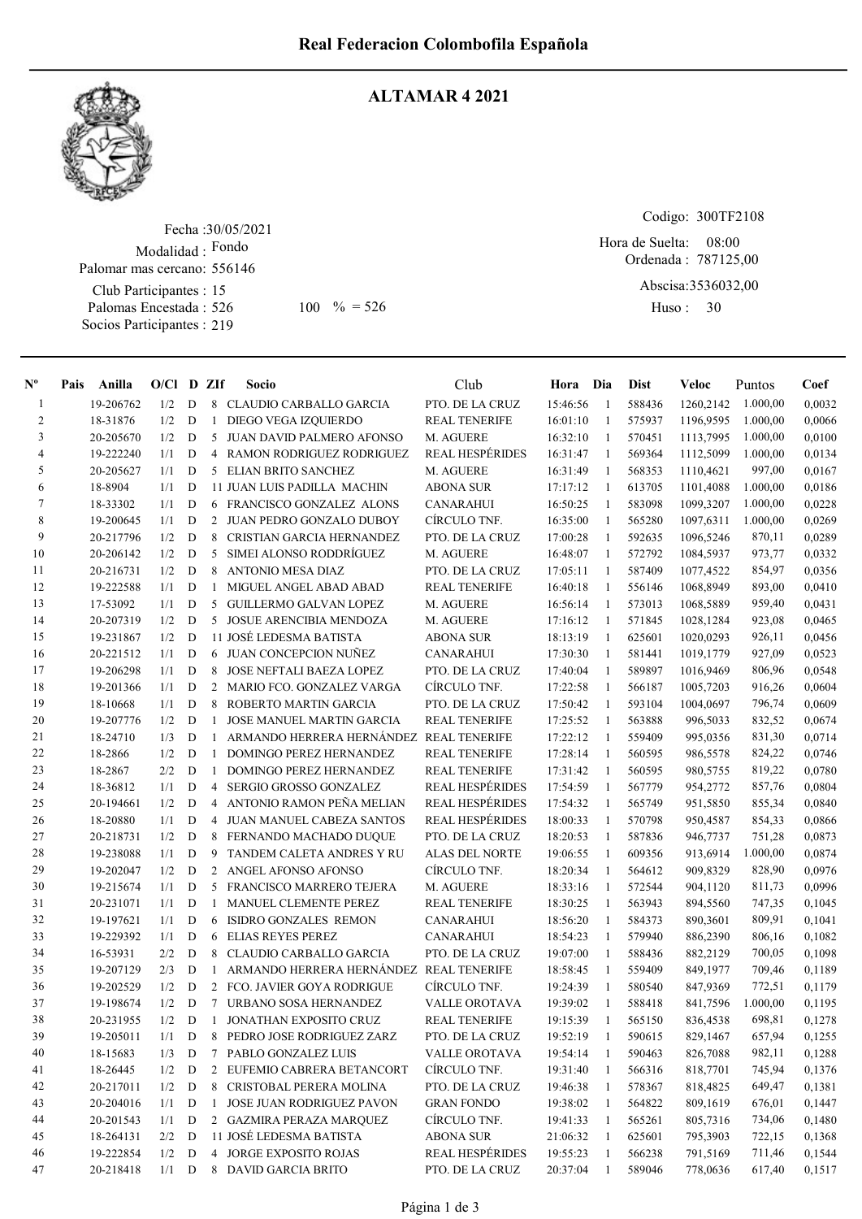

## ALTAMAR 4 2021

Fecha : 30/05/2021 Modalidad : Fondo Club Participantes : 15 Palomas Encestada : 526 Socios Participantes : 219 Palomar mas cercano: 556146

526 100 % = 526 Huso: 30

Codigo: 300TF2108

Ordenada : 787125,00 Abscisa: 3536032,00 Hora de Suelta: 08:00

Huso: 30

| $N^{\text{o}}$ | Pais | Anilla    | $O/Cl$ D ZIf |             |              | Socio                                   | Club                   | Hora Dia   |              | <b>Dist</b> | Veloc     | Puntos   | Coef   |
|----------------|------|-----------|--------------|-------------|--------------|-----------------------------------------|------------------------|------------|--------------|-------------|-----------|----------|--------|
| 1              |      | 19-206762 | 1/2          | D           | 8            | CLAUDIO CARBALLO GARCIA                 | PTO. DE LA CRUZ        | 15:46:56   | -1           | 588436      | 1260,2142 | 1.000,00 | 0,0032 |
| 2              |      | 18-31876  | 1/2          | D           | 1            | DIEGO VEGA IZQUIERDO                    | <b>REAL TENERIFE</b>   | 16:01:10   | $\mathbf{1}$ | 575937      | 1196.9595 | 1.000,00 | 0,0066 |
| 3              |      | 20-205670 | 1/2          | D           | 5            | JUAN DAVID PALMERO AFONSO               | M. AGUERE              | 16:32:10   | -1           | 570451      | 1113,7995 | 1.000,00 | 0,0100 |
| 4              |      | 19-222240 | 1/1          | D           | 4            | RAMON RODRIGUEZ RODRIGUEZ               | <b>REAL HESPÉRIDES</b> | 16:31:47   | -1           | 569364      | 1112,5099 | 1.000,00 | 0,0134 |
| 5              |      | 20-205627 | 1/1          | D           | 5            | ELIAN BRITO SANCHEZ                     | M. AGUERE              | 16:31:49   | -1           | 568353      | 1110,4621 | 997,00   | 0,0167 |
| 6              |      | 18-8904   | 1/1          | D           |              | <b>11 JUAN LUIS PADILLA MACHIN</b>      | <b>ABONA SUR</b>       | 17:17:12   | -1           | 613705      | 1101,4088 | 1.000,00 | 0,0186 |
| 7              |      | 18-33302  | 1/1          | D           |              | 6 FRANCISCO GONZALEZ ALONS              | <b>CANARAHUI</b>       | 16:50:25   | -1           | 583098      | 1099,3207 | 1.000,00 | 0,0228 |
| 8              |      | 19-200645 | 1/1          | D           |              | 2 JUAN PEDRO GONZALO DUBOY              | CÍRCULO TNF.           | 16:35:00   | -1           | 565280      | 1097,6311 | 1.000,00 | 0,0269 |
| 9              |      | 20-217796 | 1/2          | D           | 8            | CRISTIAN GARCIA HERNANDEZ               | PTO. DE LA CRUZ        | 17:00:28   | -1           | 592635      | 1096,5246 | 870,11   | 0,0289 |
| 10             |      | 20-206142 | 1/2          | D           | 5            | SIMEI ALONSO RODDRÍGUEZ                 | M. AGUERE              | 16:48:07   | -1           | 572792      | 1084,5937 | 973,77   | 0,0332 |
| 11             |      | 20-216731 | 1/2          | D           | 8            | <b>ANTONIO MESA DIAZ</b>                | PTO. DE LA CRUZ        | 17:05:11   | -1           | 587409      | 1077,4522 | 854,97   | 0,0356 |
| 12             |      | 19-222588 | 1/1          | D           | 1            | MIGUEL ANGEL ABAD ABAD                  | <b>REAL TENERIFE</b>   | 16:40:18   | -1           | 556146      | 1068,8949 | 893,00   | 0,0410 |
| 13             |      | 17-53092  | 1/1          | D           | 5            | <b>GUILLERMO GALVAN LOPEZ</b>           | M. AGUERE              | 16:56:14   | 1            | 573013      | 1068,5889 | 959,40   | 0,0431 |
| 14             |      | 20-207319 | 1/2          | D           | 5            | <b>JOSUE ARENCIBIA MENDOZA</b>          | M. AGUERE              | 17:16:12   | -1           | 571845      | 1028,1284 | 923,08   | 0,0465 |
| 15             |      | 19-231867 | 1/2          | D           |              | 11 JOSÉ LEDESMA BATISTA                 | <b>ABONA SUR</b>       | 18:13:19   | -1           | 625601      | 1020,0293 | 926,11   | 0,0456 |
| 16             |      | 20-221512 | 1/1          | D           |              | 6 JUAN CONCEPCION NUÑEZ                 | <b>CANARAHUI</b>       | 17:30:30   | -1           | 581441      | 1019,1779 | 927,09   | 0,0523 |
| 17             |      | 19-206298 | 1/1          | D           | 8            | JOSE NEFTALI BAEZA LOPEZ                | PTO. DE LA CRUZ        | 17:40:04   | -1           | 589897      | 1016,9469 | 806,96   | 0,0548 |
| 18             |      | 19-201366 | 1/1          | D           |              | 2 MARIO FCO. GONZALEZ VARGA             | CÍRCULO TNF.           | 17:22:58   | -1           | 566187      | 1005,7203 | 916,26   | 0,0604 |
| 19             |      | 18-10668  | 1/1          | D           | 8            | ROBERTO MARTIN GARCIA                   | PTO. DE LA CRUZ        | 17:50:42   | $\mathbf{1}$ | 593104      | 1004,0697 | 796,74   | 0,0609 |
| 20             |      | 19-207776 | 1/2          | D           | $\mathbf{1}$ | <b>JOSE MANUEL MARTIN GARCIA</b>        | <b>REAL TENERIFE</b>   | 17:25:52   | -1           | 563888      | 996,5033  | 832,52   | 0,0674 |
| 21             |      | 18-24710  | 1/3          | D           | $\mathbf{1}$ | ARMANDO HERRERA HERNÁNDEZ               | <b>REAL TENERIFE</b>   | 17:22:12   | -1           | 559409      | 995,0356  | 831,30   | 0,0714 |
| 22             |      | 18-2866   | 1/2          | D           | $\mathbf{1}$ | DOMINGO PEREZ HERNANDEZ                 | <b>REAL TENERIFE</b>   | 17:28:14   | -1           | 560595      | 986,5578  | 824,22   | 0,0746 |
| 23             |      | 18-2867   | 2/2          | D           | 1            | <b>DOMINGO PEREZ HERNANDEZ</b>          | <b>REAL TENERIFE</b>   | 17:31:42   | -1           | 560595      | 980,5755  | 819,22   | 0,0780 |
| 24             |      | 18-36812  | 1/1          | D           | 4            | SERGIO GROSSO GONZALEZ                  | <b>REAL HESPÉRIDES</b> | 17:54:59   | -1           | 567779      | 954,2772  | 857,76   | 0,0804 |
| 25             |      | 20-194661 | 1/2          | D           | 4            | ANTONIO RAMON PEÑA MELIAN               | <b>REAL HESPÉRIDES</b> | 17:54:32   | $\mathbf{1}$ | 565749      | 951,5850  | 855,34   | 0,0840 |
| 26             |      | 18-20880  | 1/1          | D           | 4            | JUAN MANUEL CABEZA SANTOS               | <b>REAL HESPÉRIDES</b> | 18:00:33   | $\mathbf{1}$ | 570798      | 950,4587  | 854,33   | 0,0866 |
| 27             |      | 20-218731 | 1/2          | D           | 8            | FERNANDO MACHADO DUQUE                  | PTO. DE LA CRUZ        | 18:20:53   | -1           | 587836      | 946,7737  | 751,28   | 0,0873 |
| 28             |      | 19-238088 | 1/1          | D           | 9            | TANDEM CALETA ANDRES Y RU               | <b>ALAS DEL NORTE</b>  | 19:06:55   | $\mathbf{1}$ | 609356      | 913,6914  | 1.000,00 | 0,0874 |
| 29             |      | 19-202047 | 1/2          | D           |              | 2 ANGEL AFONSO AFONSO                   | CÍRCULO TNF.           | 18:20:34   | -1           | 564612      | 909,8329  | 828,90   | 0,0976 |
| 30             |      | 19-215674 | 1/1          | D           | 5            | FRANCISCO MARRERO TEJERA                | M. AGUERE              | 18:33:16   | -1           | 572544      | 904,1120  | 811,73   | 0,0996 |
| 31             |      | 20-231071 | 1/1          | D           | $\mathbf{1}$ | MANUEL CLEMENTE PEREZ                   | <b>REAL TENERIFE</b>   | 18:30:25   | -1           | 563943      | 894,5560  | 747,35   | 0,1045 |
| 32             |      | 19-197621 | 1/1          | D           | 6            | ISIDRO GONZALES REMON                   | <b>CANARAHUI</b>       | 18:56:20   | -1           | 584373      | 890,3601  | 809,91   | 0,1041 |
| 33             |      | 19-229392 | 1/1          | D           | 6            | <b>ELIAS REYES PEREZ</b>                | <b>CANARAHUI</b>       | 18:54:23   | -1           | 579940      | 886,2390  | 806,16   | 0,1082 |
| 34             |      | 16-53931  | 2/2          | D           | 8            | CLAUDIO CARBALLO GARCIA                 | PTO. DE LA CRUZ        | 19:07:00   | -1           | 588436      | 882,2129  | 700,05   | 0,1098 |
| 35             |      | 19-207129 | 2/3          | D           | 1            | ARMANDO HERRERA HERNÁNDEZ REAL TENERIFE |                        | 18:58:45   | -1           | 559409      | 849,1977  | 709,46   | 0,1189 |
| 36             |      | 19-202529 | 1/2          | D           | 2            | FCO. JAVIER GOYA RODRIGUE               | CÍRCULO TNF.           | 19:24:39   | -1           | 580540      | 847,9369  | 772,51   | 0,1179 |
| 37             |      | 19-198674 | 1/2          | D           |              | 7 URBANO SOSA HERNANDEZ                 | <b>VALLE OROTAVA</b>   | 19:39:02   | $\mathbf{1}$ | 588418      | 841,7596  | 1.000,00 | 0,1195 |
| 38             |      | 20-231955 |              |             |              | 1/2 D 1 JONATHAN EXPOSITO CRUZ          | REAL TENERIFE          | 19:15:39 1 |              | 565150      | 836,4538  | 698,81   | 0,1278 |
| 39             |      | 19-205011 | 1/1          | D           |              | 8 PEDRO JOSE RODRIGUEZ ZARZ             | PTO. DE LA CRUZ        | 19:52:19   | $\mathbf{1}$ | 590615      | 829,1467  | 657,94   | 0,1255 |
| 40             |      | 18-15683  | 1/3          | $\mathbf D$ |              | 7 PABLO GONZALEZ LUIS                   | <b>VALLE OROTAVA</b>   | 19:54:14   | -1           | 590463      | 826,7088  | 982,11   | 0,1288 |
| 41             |      | 18-26445  | 1/2          | D           |              | 2 EUFEMIO CABRERA BETANCORT             | CÍRCULO TNF.           | 19:31:40   | $\mathbf{1}$ | 566316      | 818,7701  | 745,94   | 0,1376 |
| 42             |      | 20-217011 | 1/2          | D           |              | 8 CRISTOBAL PERERA MOLINA               | PTO. DE LA CRUZ        | 19:46:38   | $\mathbf{1}$ | 578367      | 818,4825  | 649,47   | 0,1381 |
| 43             |      | 20-204016 | $1/1$ D      |             |              | 1 JOSE JUAN RODRIGUEZ PAVON             | <b>GRAN FONDO</b>      | 19:38:02   | -1           | 564822      | 809,1619  | 676,01   | 0,1447 |
| 44             |      | 20-201543 | 1/1          | D           |              | 2 GAZMIRA PERAZA MARQUEZ                | CÍRCULO TNF.           | 19:41:33   | $\mathbf{1}$ | 565261      | 805,7316  | 734,06   | 0,1480 |
| 45             |      | 18-264131 | 2/2          | D           |              | 11 JOSÉ LEDESMA BATISTA                 | ABONA SUR              | 21:06:32   | $\mathbf{1}$ | 625601      | 795,3903  | 722,15   | 0,1368 |
| 46             |      | 19-222854 | 1/2          | D           |              | <b>4 JORGE EXPOSITO ROJAS</b>           | <b>REAL HESPÉRIDES</b> | 19:55:23   | -1           | 566238      | 791,5169  | 711,46   | 0,1544 |
| 47             |      | 20-218418 | $1/1$ D      |             |              | 8 DAVID GARCIA BRITO                    | PTO. DE LA CRUZ        | 20:37:04   | 1            | 589046      | 778,0636  | 617,40   | 0,1517 |
|                |      |           |              |             |              |                                         |                        |            |              |             |           |          |        |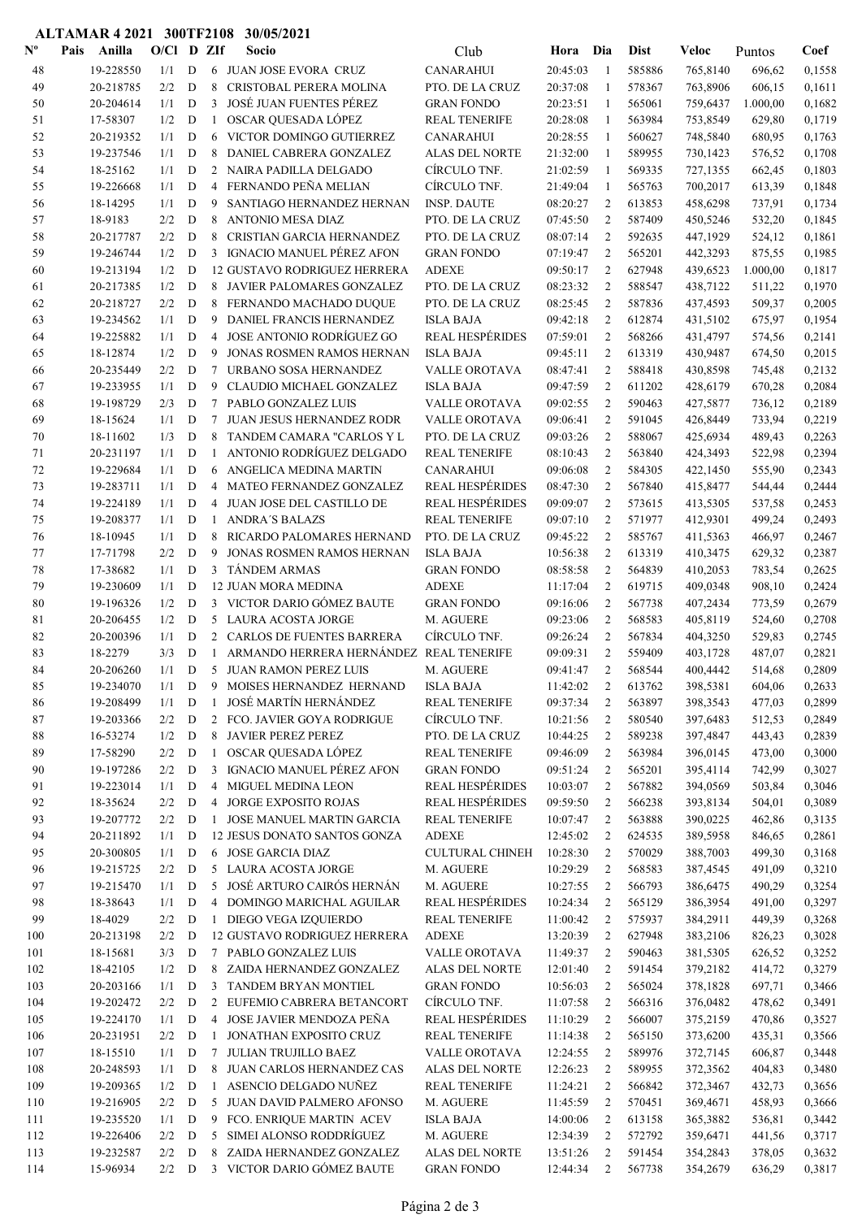## ALTAMAR 4 2021 300TF2108 30/05/2021

| $\mathbf{N}^{\mathbf{o}}$ | Pais<br>Anilla         | $O/Cl$ D ZIf |                            |                | Socio                                                     | Club                                       | Hora Dia             |                                  | <b>Dist</b>      | Veloc                | Puntos           | Coef             |
|---------------------------|------------------------|--------------|----------------------------|----------------|-----------------------------------------------------------|--------------------------------------------|----------------------|----------------------------------|------------------|----------------------|------------------|------------------|
| 48                        | 19-228550              | 1/1          | D                          |                | 6 JUAN JOSE EVORA CRUZ                                    | <b>CANARAHUI</b>                           | 20:45:03             | -1                               | 585886           | 765,8140             | 696,62           | 0,1558           |
| 49                        | 20-218785              | 2/2          | D                          | 8              | CRISTOBAL PERERA MOLINA                                   | PTO. DE LA CRUZ                            | 20:37:08             | 1                                | 578367           | 763,8906             | 606,15           | 0,1611           |
| 50                        | 20-204614              | 1/1          | D                          | 3              | <b>JOSÉ JUAN FUENTES PÉREZ</b>                            | <b>GRAN FONDO</b>                          | 20:23:51             | 1                                | 565061           | 759,6437             | 1.000,00         | 0,1682           |
| 51                        | 17-58307               | 1/2          | D                          | $\mathbf{1}$   | OSCAR QUESADA LÓPEZ                                       | <b>REAL TENERIFE</b>                       | 20:28:08             | 1                                | 563984           | 753,8549             | 629,80           | 0,1719           |
| 52                        | 20-219352              | 1/1          | D                          | 6              | VICTOR DOMINGO GUTIERREZ                                  | <b>CANARAHUI</b>                           | 20:28:55             | $\mathbf{1}$                     | 560627           | 748,5840             | 680,95           | 0,1763           |
| 53                        | 19-237546              | 1/1          | D                          | 8              | DANIEL CABRERA GONZALEZ                                   | ALAS DEL NORTE                             | 21:32:00             | 1                                | 589955           | 730,1423             | 576,52           | 0,1708           |
| 54                        | 18-25162               | 1/1          | D                          | 2              | NAIRA PADILLA DELGADO                                     | CÍRCULO TNF.                               | 21:02:59             | -1                               | 569335           | 727,1355             | 662,45           | 0,1803           |
| 55                        | 19-226668              | 1/1          | D                          | $\overline{4}$ | FERNANDO PEÑA MELIAN                                      | CÍRCULO TNF.                               | 21:49:04             | $\mathbf{1}$                     | 565763           | 700,2017             | 613,39           | 0,1848           |
| 56                        | 18-14295               | 1/1          | D                          | 9              | SANTIAGO HERNANDEZ HERNAN                                 | <b>INSP. DAUTE</b>                         | 08:20:27             | $\overline{2}$                   | 613853           | 458,6298             | 737,91           | 0,1734           |
| 57                        | 18-9183                | 2/2          | D                          | 8              | <b>ANTONIO MESA DIAZ</b>                                  | PTO. DE LA CRUZ                            | 07:45:50             | 2                                | 587409           | 450,5246             | 532,20           | 0,1845           |
| 58                        | 20-217787              | 2/2          | D                          | 8              | CRISTIAN GARCIA HERNANDEZ                                 | PTO. DE LA CRUZ                            | 08:07:14             | $\overline{c}$                   | 592635           | 447,1929             | 524,12           | 0,1861           |
| 59                        | 19-246744              | 1/2          | $\mathbf D$                |                | 3 IGNACIO MANUEL PÉREZ AFON                               | <b>GRAN FONDO</b>                          | 07:19:47             | 2                                | 565201           | 442,3293             | 875,55           | 0,1985           |
| 60                        | 19-213194              | 1/2          | D                          |                | <b>12 GUSTAVO RODRIGUEZ HERRERA</b>                       | <b>ADEXE</b>                               | 09:50:17             | $\overline{2}$                   | 627948           | 439,6523             | 1.000,00         | 0,1817           |
| 61                        | 20-217385              | 1/2          | D                          | 8              | JAVIER PALOMARES GONZALEZ                                 | PTO. DE LA CRUZ                            | 08:23:32             | $\overline{2}$                   | 588547           | 438,7122             | 511,22           | 0,1970           |
| 62                        | 20-218727              | 2/2          | D                          | 8              | FERNANDO MACHADO DUQUE                                    | PTO. DE LA CRUZ                            | 08:25:45             | $\overline{2}$                   | 587836           | 437,4593             | 509,37           | 0,2005           |
| 63                        | 19-234562<br>19-225882 | 1/1<br>1/1   | D<br>D                     | 9<br>4         | DANIEL FRANCIS HERNANDEZ<br>JOSE ANTONIO RODRÍGUEZ GO     | <b>ISLA BAJA</b><br><b>REAL HESPÉRIDES</b> | 09:42:18<br>07:59:01 | $\overline{2}$<br>$\overline{2}$ | 612874<br>568266 | 431,5102             | 675,97           | 0,1954<br>0,2141 |
| 64<br>65                  | 18-12874               | 1/2          | D                          | 9              | <b>JONAS ROSMEN RAMOS HERNAN</b>                          | <b>ISLA BAJA</b>                           | 09:45:11             | $\overline{2}$                   | 613319           | 431,4797<br>430,9487 | 574,56<br>674,50 | 0,2015           |
| 66                        | 20-235449              | 2/2          | D                          | 7              | URBANO SOSA HERNANDEZ                                     | <b>VALLE OROTAVA</b>                       | 08:47:41             | $\overline{2}$                   | 588418           | 430,8598             | 745,48           | 0,2132           |
| 67                        | 19-233955              | 1/1          | D                          | 9              | <b>CLAUDIO MICHAEL GONZALEZ</b>                           | <b>ISLA BAJA</b>                           | 09:47:59             | $\overline{2}$                   | 611202           | 428,6179             | 670,28           | 0,2084           |
| 68                        | 19-198729              | 2/3          | D                          | $\tau$         | PABLO GONZALEZ LUIS                                       | <b>VALLE OROTAVA</b>                       | 09:02:55             | 2                                | 590463           | 427,5877             | 736,12           | 0,2189           |
| 69                        | 18-15624               | 1/1          | D                          | $\tau$         | <b>JUAN JESUS HERNANDEZ RODR</b>                          | <b>VALLE OROTAVA</b>                       | 09:06:41             | $\overline{2}$                   | 591045           | 426,8449             | 733,94           | 0,2219           |
| 70                        | 18-11602               | 1/3          | D                          | 8              | TANDEM CAMARA "CARLOS Y L                                 | PTO. DE LA CRUZ                            | 09:03:26             | $\overline{c}$                   | 588067           | 425,6934             | 489,43           | 0,2263           |
| 71                        | 20-231197              | 1/1          | $\mathbf D$                | 1              | ANTONIO RODRÍGUEZ DELGADO                                 | <b>REAL TENERIFE</b>                       | 08:10:43             | $\overline{c}$                   | 563840           | 424,3493             | 522,98           | 0,2394           |
| 72                        | 19-229684              | 1/1          | D                          | 6              | ANGELICA MEDINA MARTIN                                    | <b>CANARAHUI</b>                           | 09:06:08             | $\overline{2}$                   | 584305           | 422,1450             | 555,90           | 0,2343           |
| 73                        | 19-283711              | 1/1          | D                          |                | 4 MATEO FERNANDEZ GONZALEZ                                | <b>REAL HESPÉRIDES</b>                     | 08:47:30             | $\overline{2}$                   | 567840           | 415,8477             | 544,44           | 0,2444           |
| 74                        | 19-224189              | 1/1          | D                          | 4              | JUAN JOSE DEL CASTILLO DE                                 | <b>REAL HESPÉRIDES</b>                     | 09:09:07             | $\overline{2}$                   | 573615           | 413,5305             | 537,58           | 0,2453           |
| 75                        | 19-208377              | 1/1          | D                          | $\mathbf{1}$   | <b>ANDRA'S BALAZS</b>                                     | <b>REAL TENERIFE</b>                       | 09:07:10             | $\overline{2}$                   | 571977           | 412,9301             | 499,24           | 0,2493           |
| 76                        | 18-10945               | 1/1          | D                          | 8              | RICARDO PALOMARES HERNAND                                 | PTO. DE LA CRUZ                            | 09:45:22             | 2                                | 585767           | 411,5363             | 466,97           | 0,2467           |
| 77                        | 17-71798               | 2/2          | D                          | 9              | JONAS ROSMEN RAMOS HERNAN                                 | <b>ISLA BAJA</b>                           | 10:56:38             | $\overline{2}$                   | 613319           | 410,3475             | 629,32           | 0,2387           |
| 78                        | 17-38682               | 1/1          | D                          | $\mathbf{3}$   | <b>TANDEM ARMAS</b>                                       | <b>GRAN FONDO</b>                          | 08:58:58             | $\overline{2}$                   | 564839           | 410,2053             | 783,54           | 0,2625           |
| 79                        | 19-230609              | 1/1          | D                          |                | <b>12 JUAN MORA MEDINA</b>                                | <b>ADEXE</b>                               | 11:17:04             | 2                                | 619715           | 409,0348             | 908,10           | 0,2424           |
| 80                        | 19-196326              | 1/2          | D                          |                | 3 VICTOR DARIO GÓMEZ BAUTE                                | <b>GRAN FONDO</b>                          | 09:16:06             | $\overline{2}$                   | 567738           | 407,2434             | 773,59           | 0,2679           |
| 81                        | 20-206455              | 1/2          | D                          | 5              | LAURA ACOSTA JORGE                                        | M. AGUERE                                  | 09:23:06             | 2                                | 568583           | 405,8119             | 524,60           | 0,2708           |
| 82                        | 20-200396              | 1/1          | D                          | $\overline{2}$ | CARLOS DE FUENTES BARRERA                                 | CÍRCULO TNF.                               | 09:26:24             | $\overline{c}$                   | 567834           | 404,3250             | 529,83           | 0,2745           |
| 83                        | 18-2279                | 3/3          | $\mathbf D$                | $\mathbf{1}$   | ARMANDO HERRERA HERNÁNDEZ                                 | <b>REAL TENERIFE</b>                       | 09:09:31             | $\overline{2}$                   | 559409           | 403,1728             | 487,07           | 0,2821           |
| 84                        | 20-206260              | 1/1          | D                          |                | 5 JUAN RAMON PEREZ LUIS                                   | M. AGUERE                                  | 09:41:47             | $\overline{2}$                   | 568544           | 400,4442             | 514,68           | 0,2809           |
| 85                        | 19-234070              | 1/1          | D                          |                | 9 MOISES HERNANDEZ HERNAND                                | ISLA BAJA                                  | 11:42:02             | 2                                | 613762           | 398,5381             | 604,06           | 0,2633           |
| 86                        | 19-208499              | $1/1$ D      |                            |                | JOSÉ MARTÍN HERNÁNDEZ                                     | <b>REAL TENERIFE</b>                       | 09:37:34             | $\overline{2}$                   | 563897           | 398,3543             | 477,03           | 0,2899           |
| 87                        | 19-203366              | 2/2          | D                          | $\overline{2}$ | FCO. JAVIER GOYA RODRIGUE                                 | CÍRCULO TNF.                               | 10:21:56             | $\overline{2}$                   | 580540           | 397,6483             | 512,53           | 0,2849           |
| $\bf 88$                  | 16-53274               | 1/2          | D                          | 8              | JAVIER PEREZ PEREZ                                        | PTO. DE LA CRUZ                            | 10:44:25             | $\overline{2}$                   | 589238           | 397,4847             | 443,43           | 0,2839           |
| 89                        | 17-58290               | 2/2          | $\mathbf D$                | $\mathbf{1}$   | OSCAR QUESADA LÓPEZ                                       | <b>REAL TENERIFE</b>                       | 09:46:09             | $\overline{2}$                   | 563984           | 396,0145             | 473,00           | 0,3000           |
| 90                        | 19-197286              | 2/2          | $\mathbf D$                | 3              | IGNACIO MANUEL PÉREZ AFON                                 | <b>GRAN FONDO</b>                          | 09:51:24             | $\overline{2}$                   | 565201           | 395,4114             | 742,99           | 0,3027           |
| 91                        | 19-223014              | 1/1          | D                          | $\overline{4}$ | <b>MIGUEL MEDINA LEON</b>                                 | <b>REAL HESPÉRIDES</b>                     | 10:03:07             | $\overline{2}$                   | 567882           | 394,0569             | 503,84           | 0,3046           |
| 92                        | 18-35624               | 2/2          | D                          | $\overline{4}$ | JORGE EXPOSITO ROJAS                                      | <b>REAL HESPÉRIDES</b>                     | 09:59:50             | $\overline{2}$                   | 566238           | 393,8134             | 504,01           | 0,3089           |
| 93<br>94                  | 19-207772<br>20-211892 | 2/2<br>1/1   | $\mathbf D$<br>$\mathbf D$ | $\mathbf{1}$   | JOSE MANUEL MARTIN GARCIA<br>12 JESUS DONATO SANTOS GONZA | <b>REAL TENERIFE</b><br><b>ADEXE</b>       | 10:07:47             | 2<br>$\overline{2}$              | 563888<br>624535 | 390,0225             | 462,86           | 0,3135           |
| 95                        | 20-300805              | 1/1          | ${\bf D}$                  |                | 6 JOSE GARCIA DIAZ                                        | <b>CULTURAL CHINEH</b>                     | 12:45:02<br>10:28:30 | $\overline{2}$                   | 570029           | 389,5958<br>388,7003 | 846,65<br>499,30 | 0,2861<br>0,3168 |
| 96                        | 19-215725              | 2/2          | ${\bf D}$                  |                | 5 LAURA ACOSTA JORGE                                      | M. AGUERE                                  | 10:29:29             | $\overline{2}$                   | 568583           | 387,4545             | 491,09           | 0,3210           |
| 97                        | 19-215470              | 1/1          | D                          |                | 5 JOSÉ ARTURO CAIRÓS HERNÁN                               | M. AGUERE                                  | 10:27:55             | $\overline{2}$                   | 566793           | 386,6475             | 490,29           | 0,3254           |
| 98                        | 18-38643               | 1/1          | D                          |                | 4 DOMINGO MARICHAL AGUILAR                                | <b>REAL HESPÉRIDES</b>                     | 10:24:34             | $\overline{2}$                   | 565129           | 386,3954             | 491,00           | 0,3297           |
| 99                        | 18-4029                | 2/2          | D                          |                | 1 DIEGO VEGA IZQUIERDO                                    | <b>REAL TENERIFE</b>                       | 11:00:42             | $\overline{2}$                   | 575937           | 384,2911             | 449,39           | 0,3268           |
| 100                       | 20-213198              | 2/2          | D                          |                | 12 GUSTAVO RODRIGUEZ HERRERA                              | <b>ADEXE</b>                               | 13:20:39             | $\overline{2}$                   | 627948           | 383,2106             | 826,23           | 0,3028           |
| 101                       | 18-15681               | 3/3          | D                          | $\tau$         | PABLO GONZALEZ LUIS                                       | VALLE OROTAVA                              | 11:49:37             | $\overline{2}$                   | 590463           | 381,5305             | 626,52           | 0,3252           |
| 102                       | 18-42105               | 1/2          | D                          | 8              | ZAIDA HERNANDEZ GONZALEZ                                  | ALAS DEL NORTE                             | 12:01:40             | $\overline{2}$                   | 591454           | 379,2182             | 414,72           | 0,3279           |
| 103                       | 20-203166              | 1/1          | D                          | 3              | TANDEM BRYAN MONTIEL                                      | <b>GRAN FONDO</b>                          | 10:56:03             | 2                                | 565024           | 378,1828             | 697,71           | 0,3466           |
| 104                       | 19-202472              | 2/2          | D                          |                | 2 EUFEMIO CABRERA BETANCORT                               | CÍRCULO TNF.                               | 11:07:58             | $\overline{2}$                   | 566316           | 376,0482             | 478,62           | 0,3491           |
| 105                       | 19-224170              | 1/1          | D                          | 4              | JOSE JAVIER MENDOZA PEÑA                                  | <b>REAL HESPÉRIDES</b>                     | 11:10:29             | $\overline{2}$                   | 566007           | 375,2159             | 470,86           | 0,3527           |
| 106                       | 20-231951              | 2/2          | D                          | $\mathbf{1}$   | JONATHAN EXPOSITO CRUZ                                    | <b>REAL TENERIFE</b>                       | 11:14:38             | $\overline{2}$                   | 565150           | 373,6200             | 435,31           | 0,3566           |
| 107                       | 18-15510               | 1/1          | $\mathbf D$                | 7              | JULIAN TRUJILLO BAEZ                                      | VALLE OROTAVA                              | 12:24:55             | $\overline{2}$                   | 589976           | 372,7145             | 606,87           | 0,3448           |
| 108                       | 20-248593              | 1/1          | $\mathbf D$                | 8              | JUAN CARLOS HERNANDEZ CAS                                 | ALAS DEL NORTE                             | 12:26:23             | 2                                | 589955           | 372,3562             | 404,83           | 0,3480           |
| 109                       | 19-209365              | 1/2          | D                          | $\mathbf{1}$   | ASENCIO DELGADO NUÑEZ                                     | <b>REAL TENERIFE</b>                       | 11:24:21             | $\overline{2}$                   | 566842           | 372,3467             | 432,73           | 0,3656           |
| 110                       | 19-216905              | $2/2$ D      |                            |                | 5 JUAN DAVID PALMERO AFONSO                               | M. AGUERE                                  | 11:45:59             | 2                                | 570451           | 369,4671             | 458,93           | 0,3666           |
| 111                       | 19-235520              | 1/1          | D                          | 9              | FCO. ENRIQUE MARTIN ACEV                                  | <b>ISLA BAJA</b>                           | 14:00:06             | 2                                | 613158           | 365,3882             | 536,81           | 0,3442           |
| 112                       | 19-226406              | 2/2          | D                          | 5              | SIMEI ALONSO RODDRÍGUEZ                                   | M. AGUERE                                  | 12:34:39             | $\overline{2}$                   | 572792           | 359,6471             | 441,56           | 0,3717           |
| 113                       | 19-232587              | 2/2          | D                          | 8              | ZAIDA HERNANDEZ GONZALEZ                                  | ALAS DEL NORTE                             | 13:51:26             | $\overline{2}$                   | 591454           | 354,2843             | 378,05           | 0,3632           |
| 114                       | 15-96934               | $2/2$ D      |                            |                | 3 VICTOR DARIO GÓMEZ BAUTE                                | <b>GRAN FONDO</b>                          | 12:44:34             | 2                                | 567738           | 354,2679             | 636,29           | 0,3817           |